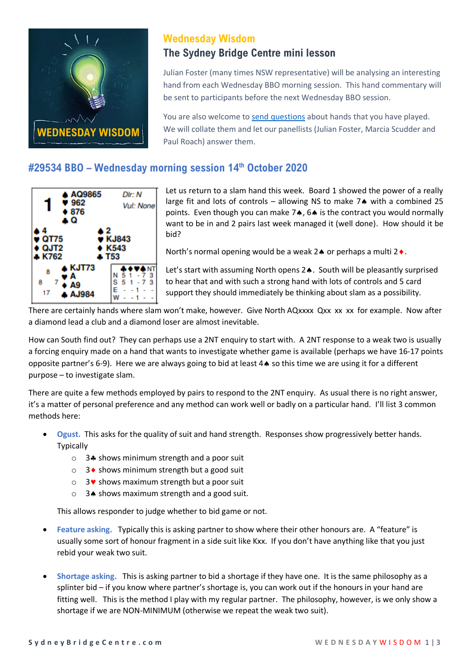

# **Wednesday Wisdom**

### **The Sydney Bridge Centre mini lesson**

Julian Foster (many times NSW representative) will be analysing an interesting hand from each Wednesday BBO morning session. This hand commentary will be sent to participants before the next Wednesday BBO session.

You are also welcome to [send questions](mailto:Office@sydneybridgecentre.com?subject=Wednesday%20Wisdom) about hands that you have played. We will collate them and let our panellists (Julian Foster, Marcia Scudder and Paul Roach) answer them.

# **#29534 BBO – Wednesday morning session 14th October 2020**



Let us return to a slam hand this week. Board 1 showed the power of a really large fit and lots of controls – allowing NS to make  $7$  with a combined 25 points. Even though you can make  $7\spadesuit$ ,  $6\spadesuit$  is the contract you would normally want to be in and 2 pairs last week managed it (well done). How should it be bid?

North's normal opening would be a weak  $2 \triangleq 0$  or perhaps a multi  $2 \triangleq 0$ .

Let's start with assuming North opens 2.. South will be pleasantly surprised to hear that and with such a strong hand with lots of controls and 5 card support they should immediately be thinking about slam as a possibility.

There are certainly hands where slam won't make, however. Give North AQxxxx Qxx xx xx for example. Now after a diamond lead a club and a diamond loser are almost inevitable.

How can South find out? They can perhaps use a 2NT enquiry to start with. A 2NT response to a weak two is usually a forcing enquiry made on a hand that wants to investigate whether game is available (perhaps we have 16-17 points opposite partner's 6-9). Here we are always going to bid at least 4 so this time we are using it for a different purpose – to investigate slam.

There are quite a few methods employed by pairs to respond to the 2NT enquiry. As usual there is no right answer, it's a matter of personal preference and any method can work well or badly on a particular hand. I'll list 3 common methods here:

- **Ogust.** This asks for the quality of suit and hand strength. Responses show progressively better hands. Typically
	- $\circ$  3.4 shows minimum strength and a poor suit
	- $\circ$  3  $\bullet$  shows minimum strength but a good suit
	- $\circ$  3 v shows maximum strength but a poor suit
	- $\circ$  34 shows maximum strength and a good suit.

This allows responder to judge whether to bid game or not.

- **Feature asking.** Typically this is asking partner to show where their other honours are. A "feature" is usually some sort of honour fragment in a side suit like Kxx. If you don't have anything like that you just rebid your weak two suit.
- **Shortage asking.** This is asking partner to bid a shortage if they have one. It is the same philosophy as a splinter bid – if you know where partner's shortage is, you can work out if the honours in your hand are fitting well. This is the method I play with my regular partner. The philosophy, however, is we only show a shortage if we are NON-MINIMUM (otherwise we repeat the weak two suit).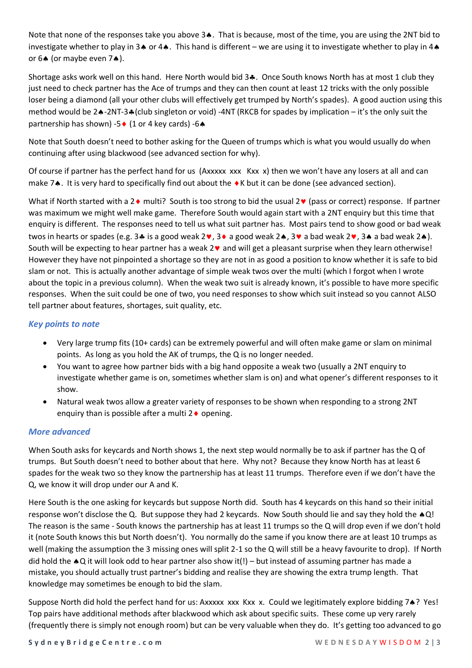Note that none of the responses take you above  $3\spadesuit$ . That is because, most of the time, you are using the 2NT bid to investigate whether to play in 3 $\clubsuit$  or 4 $\clubsuit$ . This hand is different – we are using it to investigate whether to play in 4 $\clubsuit$ or  $6 \triangle$  (or maybe even  $7 \triangle$ ).

Shortage asks work well on this hand. Here North would bid 3.. Once South knows North has at most 1 club they just need to check partner has the Ace of trumps and they can then count at least 12 tricks with the only possible loser being a diamond (all your other clubs will effectively get trumped by North's spades). A good auction using this method would be 24-2NT-34 (club singleton or void) -4NT (RKCB for spades by implication – it's the only suit the partnership has shown) -5 $\bullet$  (1 or 4 key cards) -6 $\bullet$ 

Note that South doesn't need to bother asking for the Queen of trumps which is what you would usually do when continuing after using blackwood (see advanced section for why).

Of course if partner has the perfect hand for us (Axxxxx xxx Kxx x) then we won't have any losers at all and can make 7.. It is very hard to specifically find out about the ♦K but it can be done (see advanced section).

What if North started with a 2  $\bullet$  multi? South is too strong to bid the usual 2 $\bullet$  (pass or correct) response. If partner was maximum we might well make game. Therefore South would again start with a 2NT enquiry but this time that enquiry is different. The responses need to tell us what suit partner has. Most pairs tend to show good or bad weak twos in hearts or spades (e.g. 3.4 is a good weak 2 $\bullet$ , 3 $\bullet$  a good weak 2 $\bullet$ , 3 $\bullet$  a bad weak 2 $\bullet$ , 3.4 a bad weak 2 $\bullet$ ). South will be expecting to hear partner has a weak  $2\vee$  and will get a pleasant surprise when they learn otherwise! However they have not pinpointed a shortage so they are not in as good a position to know whether it is safe to bid slam or not. This is actually another advantage of simple weak twos over the multi (which I forgot when I wrote about the topic in a previous column). When the weak two suit is already known, it's possible to have more specific responses. When the suit could be one of two, you need responses to show which suit instead so you cannot ALSO tell partner about features, shortages, suit quality, etc.

#### *Key points to note*

- Very large trump fits (10+ cards) can be extremely powerful and will often make game or slam on minimal points. As long as you hold the AK of trumps, the Q is no longer needed.
- You want to agree how partner bids with a big hand opposite a weak two (usually a 2NT enquiry to investigate whether game is on, sometimes whether slam is on) and what opener's different responses to it show.
- Natural weak twos allow a greater variety of responses to be shown when responding to a strong 2NT enquiry than is possible after a multi  $2 \bullet$  opening.

### *More advanced*

When South asks for keycards and North shows 1, the next step would normally be to ask if partner has the Q of trumps. But South doesn't need to bother about that here. Why not? Because they know North has at least 6 spades for the weak two so they know the partnership has at least 11 trumps. Therefore even if we don't have the Q, we know it will drop under our A and K.

Here South is the one asking for keycards but suppose North did. South has 4 keycards on this hand so their initial response won't disclose the Q. But suppose they had 2 keycards. Now South should lie and say they hold the  $\triangle Q!$ The reason is the same - South knows the partnership has at least 11 trumps so the Q will drop even if we don't hold it (note South knows this but North doesn't). You normally do the same if you know there are at least 10 trumps as well (making the assumption the 3 missing ones will split 2-1 so the Q will still be a heavy favourite to drop). If North did hold the  $\triangle$ Q it will look odd to hear partner also show it(!) – but instead of assuming partner has made a mistake, you should actually trust partner's bidding and realise they are showing the extra trump length. That knowledge may sometimes be enough to bid the slam.

Suppose North did hold the perfect hand for us: Axxxxx xxx Kxx x. Could we legitimately explore bidding 74? Yes! Top pairs have additional methods after blackwood which ask about specific suits. These come up very rarely (frequently there is simply not enough room) but can be very valuable when they do. It's getting too advanced to go